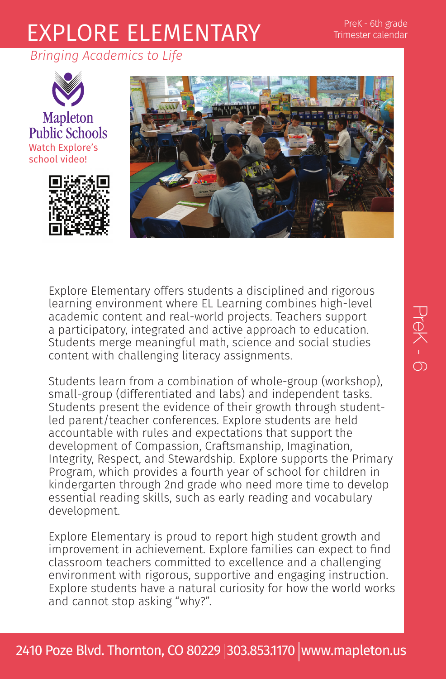## PreK - 6th grade Trimester calendar

## EXPLORE ELEMENTARY

*Bringing Academics to Life*



Mapleton **Public Schools** Watch Explore's school video!





Explore Elementary offers students a disciplined and rigorous learning environment where EL Learning combines high-level academic content and real-world projects. Teachers support a participatory, integrated and active approach to education. Students merge meaningful math, science and social studies content with challenging literacy assignments.

Students learn from a combination of whole-group (workshop), small-group (differentiated and labs) and independent tasks. Students present the evidence of their growth through studentled parent/teacher conferences. Explore students are held accountable with rules and expectations that support the development of Compassion, Craftsmanship, Imagination, Integrity, Respect, and Stewardship. Explore supports the Primary Program, which provides a fourth year of school for children in kindergarten through 2nd grade who need more time to develop essential reading skills, such as early reading and vocabulary development.

Explore Elementary is proud to report high student growth and improvement in achievement. Explore families can expect to find classroom teachers committed to excellence and a challenging environment with rigorous, supportive and engaging instruction. Explore students have a natural curiosity for how the world works and cannot stop asking "why?".